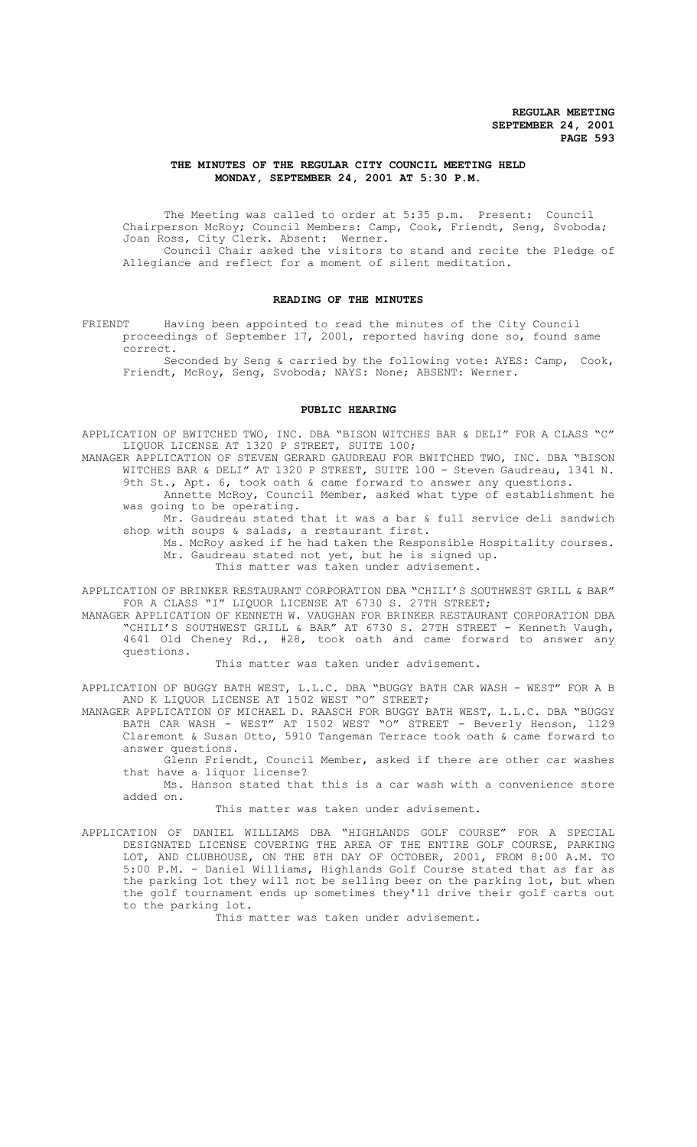# **THE MINUTES OF THE REGULAR CITY COUNCIL MEETING HELD MONDAY, SEPTEMBER 24, 2001 AT 5:30 P.M.**

The Meeting was called to order at 5:35 p.m. Present: Council Chairperson McRoy; Council Members: Camp, Cook, Friendt, Seng, Svoboda; Joan Ross, City Clerk. Absent: Werner.

Council Chair asked the visitors to stand and recite the Pledge of Allegiance and reflect for a moment of silent meditation.

# **READING OF THE MINUTES**

FRIENDT Having been appointed to read the minutes of the City Council proceedings of September 17, 2001, reported having done so, found same correct.

Seconded by Seng & carried by the following vote: AYES: Camp, Cook, Friendt, McRoy, Seng, Svoboda; NAYS: None; ABSENT: Werner.

### **PUBLIC HEARING**

APPLICATION OF BWITCHED TWO, INC. DBA "BISON WITCHES BAR & DELI" FOR A CLASS "C" LIQUOR LICENSE AT 1320 P STREET, SUITE 100;

MANAGER APPLICATION OF STEVEN GERARD GAUDREAU FOR BWITCHED TWO, INC. DBA "BISON WITCHES BAR & DELI" AT 1320 P STREET, SUITE 100 - Steven Gaudreau, 1341 N. 9th St., Apt. 6, took oath & came forward to answer any questions.

Annette McRoy, Council Member, asked what type of establishment he was going to be operating.

Mr. Gaudreau stated that it was a bar & full service deli sandwich shop with soups & salads, a restaurant first.

Ms. McRoy asked if he had taken the Responsible Hospitality courses. Mr. Gaudreau stated not yet, but he is signed up. This matter was taken under advisement.

APPLICATION OF BRINKER RESTAURANT CORPORATION DBA "CHILI'S SOUTHWEST GRILL & BAR" FOR A CLASS "I" LIQUOR LICENSE AT 6730 S. 27TH STREET;

MANAGER APPLICATION OF KENNETH W. VAUGHAN FOR BRINKER RESTAURANT CORPORATION DBA "CHILI'S SOUTHWEST GRILL & BAR" AT 6730 S. 27TH STREET - Kenneth Vaugh, 4641 Old Cheney Rd., #28, took oath and came forward to answer any questions.

This matter was taken under advisement.

APPLICATION OF BUGGY BATH WEST, L.L.C. DBA "BUGGY BATH CAR WASH - WEST" FOR A B AND K LIQUOR LICENSE AT 1502 WEST "O" STREET;

MANAGER APPLICATION OF MICHAEL D. RAASCH FOR BUGGY BATH WEST, L.L.C. DBA "BUGGY BATH CAR WASH - WEST" AT 1502 WEST "O" STREET - Beverly Henson, 1129 Claremont & Susan Otto, 5910 Tangeman Terrace took oath & came forward to answer questions.

Glenn Friendt, Council Member, asked if there are other car washes that have a liquor license?

Ms. Hanson stated that this is a car wash with a convenience store added on.

This matter was taken under advisement.

APPLICATION OF DANIEL WILLIAMS DBA "HIGHLANDS GOLF COURSE" FOR A SPECIAL DESIGNATED LICENSE COVERING THE AREA OF THE ENTIRE GOLF COURSE, PARKING LOT, AND CLUBHOUSE, ON THE 8TH DAY OF OCTOBER, 2001, FROM 8:00 A.M. TO 5:00 P.M. - Daniel Williams, Highlands Golf Course stated that as far as the parking lot they will not be selling beer on the parking lot, but when the golf tournament ends up sometimes they'll drive their golf carts out to the parking lot.

This matter was taken under advisement.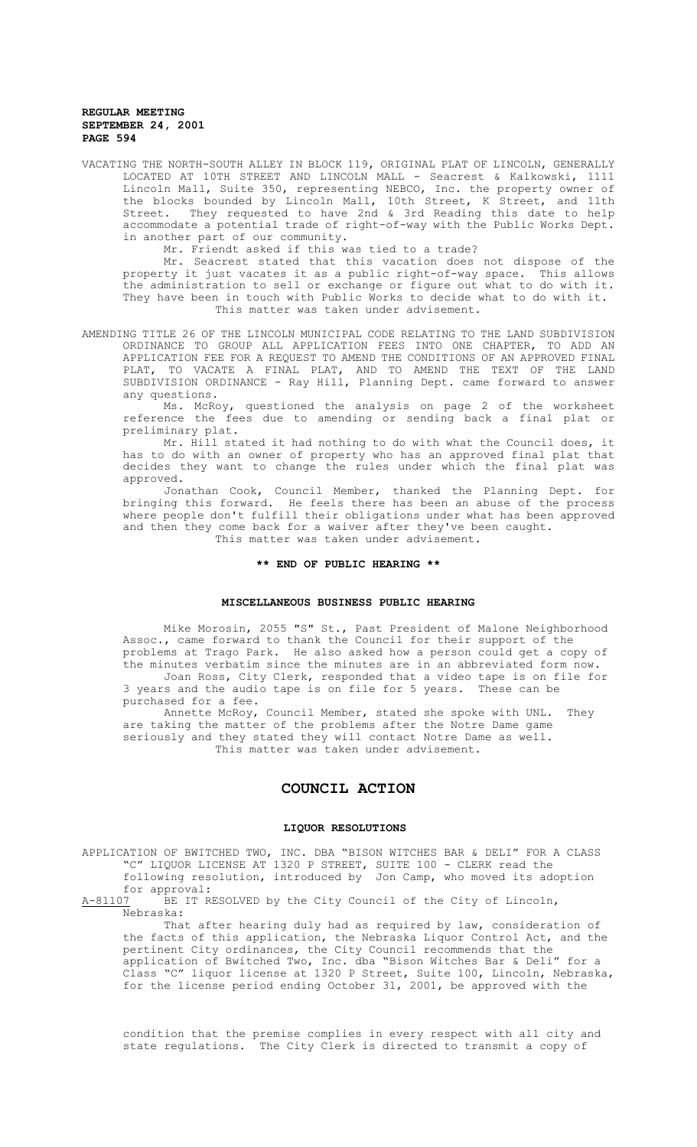VACATING THE NORTH-SOUTH ALLEY IN BLOCK 119, ORIGINAL PLAT OF LINCOLN, GENERALLY LOCATED AT 10TH STREET AND LINCOLN MALL - Seacrest & Kalkowski, 1111 Lincoln Mall, Suite 350, representing NEBCO, Inc. the property owner of the blocks bounded by Lincoln Mall, 10th Street, K Street, and 11th Street. They requested to have 2nd & 3rd Reading this date to help accommodate a potential trade of right-of-way with the Public Works Dept. in another part of our community.

Mr. Friendt asked if this was tied to a trade?

Mr. Seacrest stated that this vacation does not dispose of the property it just vacates it as a public right-of-way space. This allows the administration to sell or exchange or figure out what to do with it. They have been in touch with Public Works to decide what to do with it. This matter was taken under advisement.

AMENDING TITLE 26 OF THE LINCOLN MUNICIPAL CODE RELATING TO THE LAND SUBDIVISION ORDINANCE TO GROUP ALL APPLICATION FEES INTO ONE CHAPTER, TO ADD AN APPLICATION FEE FOR A REQUEST TO AMEND THE CONDITIONS OF AN APPROVED FINAL PLAT, TO VACATE A FINAL PLAT, AND TO AMEND THE TEXT OF THE LAND SUBDIVISION ORDINANCE - Ray Hill, Planning Dept. came forward to answer any questions.

Ms. McRoy, questioned the analysis on page 2 of the worksheet reference the fees due to amending or sending back a final plat or preliminary plat.

Mr. Hill stated it had nothing to do with what the Council does, it has to do with an owner of property who has an approved final plat that decides they want to change the rules under which the final plat was approved.

Jonathan Cook, Council Member, thanked the Planning Dept. for bringing this forward. He feels there has been an abuse of the process where people don't fulfill their obligations under what has been approved and then they come back for a waiver after they've been caught. This matter was taken under advisement.

**\*\* END OF PUBLIC HEARING \*\***

### **MISCELLANEOUS BUSINESS PUBLIC HEARING**

Mike Morosin, 2055 "S" St., Past President of Malone Neighborhood Assoc., came forward to thank the Council for their support of the problems at Trago Park. He also asked how a person could get a copy of the minutes verbatim since the minutes are in an abbreviated form now. Joan Ross, City Clerk, responded that a video tape is on file for 3 years and the audio tape is on file for 5 years. These can be

purchased for a fee.

Annette McRoy, Council Member, stated she spoke with UNL. They are taking the matter of the problems after the Notre Dame game seriously and they stated they will contact Notre Dame as well. This matter was taken under advisement.

# **COUNCIL ACTION**

#### **LIQUOR RESOLUTIONS**

APPLICATION OF BWITCHED TWO, INC. DBA "BISON WITCHES BAR & DELI" FOR A CLASS "C" LIQUOR LICENSE AT 1320 P STREET, SUITE 100 - CLERK read the following resolution, introduced by Jon Camp, who moved its adoption

for approval:<br>A-81107 BE IT R BE IT RESOLVED by the City Council of the City of Lincoln, Nebraska:

That after hearing duly had as required by law, consideration of the facts of this application, the Nebraska Liquor Control Act, and the pertinent City ordinances, the City Council recommends that the application of Bwitched Two, Inc. dba "Bison Witches Bar & Deli" for a Class "C" liquor license at 1320 P Street, Suite 100, Lincoln, Nebraska, for the license period ending October 31, 2001, be approved with the

condition that the premise complies in every respect with all city and state regulations. The City Clerk is directed to transmit a copy of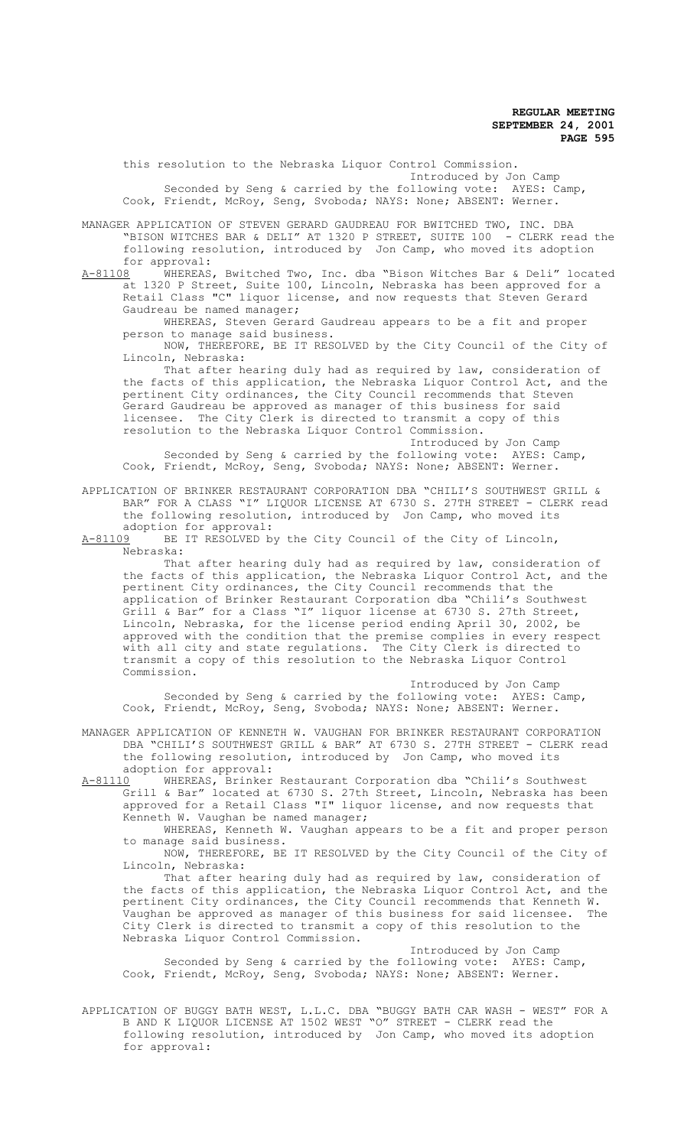this resolution to the Nebraska Liquor Control Commission. Introduced by Jon Camp Seconded by Seng & carried by the following vote: AYES: Camp, Cook, Friendt, McRoy, Seng, Svoboda; NAYS: None; ABSENT: Werner.

MANAGER APPLICATION OF STEVEN GERARD GAUDREAU FOR BWITCHED TWO, INC. DBA<br>"BISON WITCHES BAR & DELI" AT 1320 P STREET, SUITE 100 - CLERK read the "BISON WITCHES BAR & DELI" AT 1320 P STREET, SUITE 100 following resolution, introduced by Jon Camp, who moved its adoption for approval:<br>A-81108 WHEREAS

WHEREAS, Bwitched Two, Inc. dba "Bison Witches Bar & Deli" located at 1320 P Street, Suite 100, Lincoln, Nebraska has been approved for a Retail Class "C" liquor license, and now requests that Steven Gerard Gaudreau be named manager;

WHEREAS, Steven Gerard Gaudreau appears to be a fit and proper person to manage said business.

NOW, THEREFORE, BE IT RESOLVED by the City Council of the City of Lincoln, Nebraska:

That after hearing duly had as required by law, consideration of the facts of this application, the Nebraska Liquor Control Act, and the pertinent City ordinances, the City Council recommends that Steven Gerard Gaudreau be approved as manager of this business for said licensee. The City Clerk is directed to transmit a copy of this resolution to the Nebraska Liquor Control Commission.

Introduced by Jon Camp<br>Jllowing vote: AYES: Camp, Seconded by Seng & carried by the following vote: Cook, Friendt, McRoy, Seng, Svoboda; NAYS: None; ABSENT: Werner.

APPLICATION OF BRINKER RESTAURANT CORPORATION DBA "CHILI'S SOUTHWEST GRILL & BAR" FOR A CLASS "I" LIQUOR LICENSE AT 6730 S. 27TH STREET - CLERK read the following resolution, introduced by Jon Camp, who moved its

adoption for approval:<br>A-81109 BE IT RESOLVED b BE IT RESOLVED by the City Council of the City of Lincoln, Nebraska:

That after hearing duly had as required by law, consideration of the facts of this application, the Nebraska Liquor Control Act, and the pertinent City ordinances, the City Council recommends that the application of Brinker Restaurant Corporation dba "Chili's Southwest Grill & Bar" for a Class "I" liquor license at 6730 S. 27th Street, Lincoln, Nebraska, for the license period ending April 30, 2002, be approved with the condition that the premise complies in every respect with all city and state regulations. The City Clerk is directed to transmit a copy of this resolution to the Nebraska Liquor Control Commission.

Introduced by Jon Camp Seconded by Seng & carried by the following vote: AYES: Camp, Cook, Friendt, McRoy, Seng, Svoboda; NAYS: None; ABSENT: Werner.

MANAGER APPLICATION OF KENNETH W. VAUGHAN FOR BRINKER RESTAURANT CORPORATION DBA "CHILI'S SOUTHWEST GRILL & BAR" AT 6730 S. 27TH STREET - CLERK read the following resolution, introduced by Jon Camp, who moved its

adoption for approval:<br>A-81110 WHEREAS, Brinker WHEREAS, Brinker Restaurant Corporation dba "Chili's Southwest Grill & Bar" located at 6730 S. 27th Street, Lincoln, Nebraska has been approved for a Retail Class "I" liquor license, and now requests that Kenneth W. Vaughan be named manager;

WHEREAS, Kenneth W. Vaughan appears to be a fit and proper person to manage said business.

NOW, THEREFORE, BE IT RESOLVED by the City Council of the City of Lincoln, Nebraska:

That after hearing duly had as required by law, consideration of the facts of this application, the Nebraska Liquor Control Act, and the pertinent City ordinances, the City Council recommends that Kenneth W.<br>Vaughan be approved as manager of this business for said licensee. The Vaughan be approved as manager of this business for said licensee. City Clerk is directed to transmit a copy of this resolution to the Nebraska Liquor Control Commission.

Introduced by Jon Camp Seconded by Seng & carried by the following vote: AYES: Camp, Cook, Friendt, McRoy, Seng, Svoboda; NAYS: None; ABSENT: Werner.

APPLICATION OF BUGGY BATH WEST, L.L.C. DBA "BUGGY BATH CAR WASH - WEST" FOR A B AND K LIQUOR LICENSE AT 1502 WEST "O" STREET - CLERK read the following resolution, introduced by Jon Camp, who moved its adoption for approval: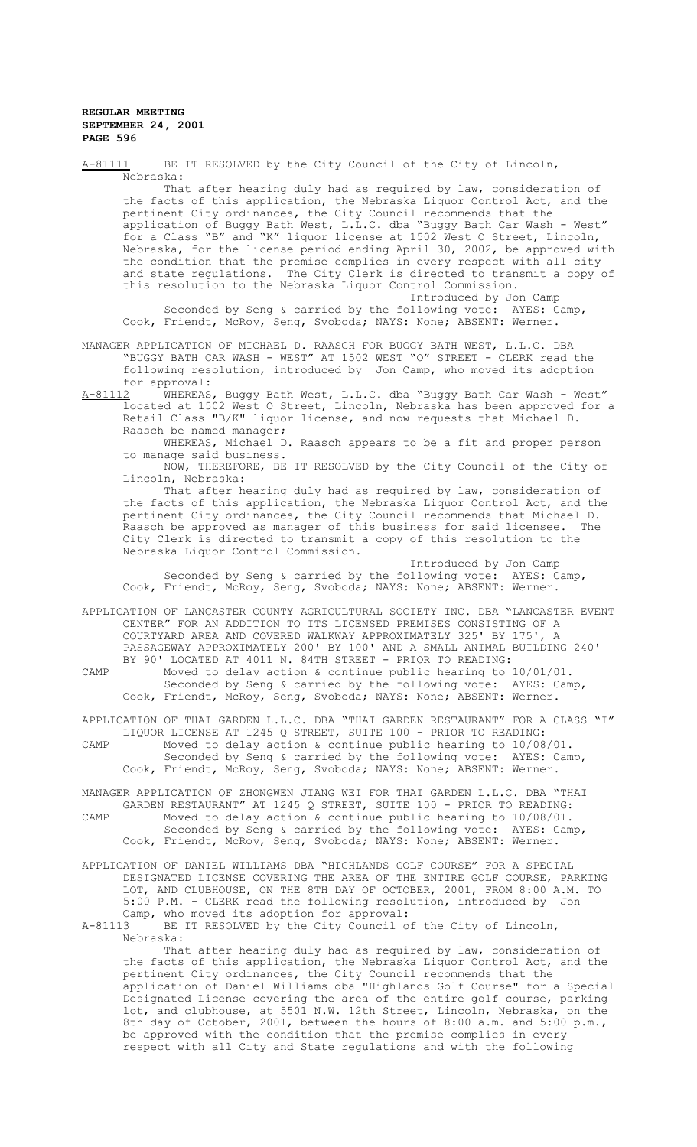A-81111 BE IT RESOLVED by the City Council of the City of Lincoln, Nebraska: That after hearing duly had as required by law, consideration of the facts of this application, the Nebraska Liquor Control Act, and the pertinent City ordinances, the City Council recommends that the application of Buggy Bath West, L.L.C. dba "Buggy Bath Car Wash - West" for a Class "B" and "K" liquor license at 1502 West O Street, Lincoln, Nebraska, for the license period ending April 30, 2002, be approved with the condition that the premise complies in every respect with all city and state regulations. The City Clerk is directed to transmit a copy of this resolution to the Nebraska Liquor Control Commission. Introduced by Jon Camp<br>
bllowing vote: AYES: Camp, Seconded by Seng & carried by the following vote: Cook, Friendt, McRoy, Seng, Svoboda; NAYS: None; ABSENT: Werner. MANAGER APPLICATION OF MICHAEL D. RAASCH FOR BUGGY BATH WEST, L.L.C. DBA "BUGGY BATH CAR WASH - WEST" AT 1502 WEST "O" STREET - CLERK read the following resolution, introduced by Jon Camp, who moved its adoption for approval:<br>A-81112 WHEREAS A-81112 WHEREAS, Buggy Bath West, L.L.C. dba "Buggy Bath Car Wash - West" located at 1502 West O Street, Lincoln, Nebraska has been approved for a Retail Class "B/K" liquor license, and now requests that Michael D. Raasch be named manager; WHEREAS, Michael D. Raasch appears to be a fit and proper person to manage said business. NOW, THEREFORE, BE IT RESOLVED by the City Council of the City of Lincoln, Nebraska: That after hearing duly had as required by law, consideration of the facts of this application, the Nebraska Liquor Control Act, and the pertinent City ordinances, the City Council recommends that Michael D. Raasch be approved as manager of this business for said licensee. The City Clerk is directed to transmit a copy of this resolution to the Nebraska Liquor Control Commission. Introduced by Jon Camp Seconded by Seng & carried by the following vote: AYES: Camp, Cook, Friendt, McRoy, Seng, Svoboda; NAYS: None; ABSENT: Werner. APPLICATION OF LANCASTER COUNTY AGRICULTURAL SOCIETY INC. DBA "LANCASTER EVENT CENTER" FOR AN ADDITION TO ITS LICENSED PREMISES CONSISTING OF A COURTYARD AREA AND COVERED WALKWAY APPROXIMATELY 325' BY 175', A PASSAGEWAY APPROXIMATELY 200' BY 100' AND A SMALL ANIMAL BUILDING 240' BY 90' LOCATED AT 4011 N. 84TH STREET - PRIOR TO READING: CAMP Moved to delay action & continue public hearing to 10/01/01. Seconded by Seng & carried by the following vote: AYES: Camp, Cook, Friendt, McRoy, Seng, Svoboda; NAYS: None; ABSENT: Werner. APPLICATION OF THAI GARDEN L.L.C. DBA "THAI GARDEN RESTAURANT" FOR A CLASS "I" LIQUOR LICENSE AT 1245 Q STREET, SUITE 100 - PRIOR TO READING: CAMP Moved to delay action & continue public hearing to 10/08/01. Seconded by Seng & carried by the following vote: AYES: Camp, Cook, Friendt, McRoy, Seng, Svoboda; NAYS: None; ABSENT: Werner. MANAGER APPLICATION OF ZHONGWEN JIANG WEI FOR THAI GARDEN L.L.C. DBA "THAI GARDEN RESTAURANT" AT 1245 Q STREET, SUITE 100 - PRIOR TO READING: CAMP Moved to delay action & continue public hearing to 10/08/01. Seconded by Seng & carried by the following vote: AYES: Camp, Cook, Friendt, McRoy, Seng, Svoboda; NAYS: None; ABSENT: Werner.

APPLICATION OF DANIEL WILLIAMS DBA "HIGHLANDS GOLF COURSE" FOR A SPECIAL DESIGNATED LICENSE COVERING THE AREA OF THE ENTIRE GOLF COURSE, PARKING LOT, AND CLUBHOUSE, ON THE 8TH DAY OF OCTOBER, 2001, FROM 8:00 A.M. TO 5:00 P.M. - CLERK read the following resolution, introduced by Jon Camp, who moved its adoption for approval:<br>A-81113 BE IT RESOLVED by the City Council o

BE IT RESOLVED by the City Council of the City of Lincoln, Nebraska: That after hearing duly had as required by law, consideration of

the facts of this application, the Nebraska Liquor Control Act, and the pertinent City ordinances, the City Council recommends that the application of Daniel Williams dba "Highlands Golf Course" for a Special Designated License covering the area of the entire golf course, parking lot, and clubhouse, at 5501 N.W. 12th Street, Lincoln, Nebraska, on the 8th day of October, 2001, between the hours of 8:00 a.m. and 5:00 p.m., be approved with the condition that the premise complies in every respect with all City and State regulations and with the following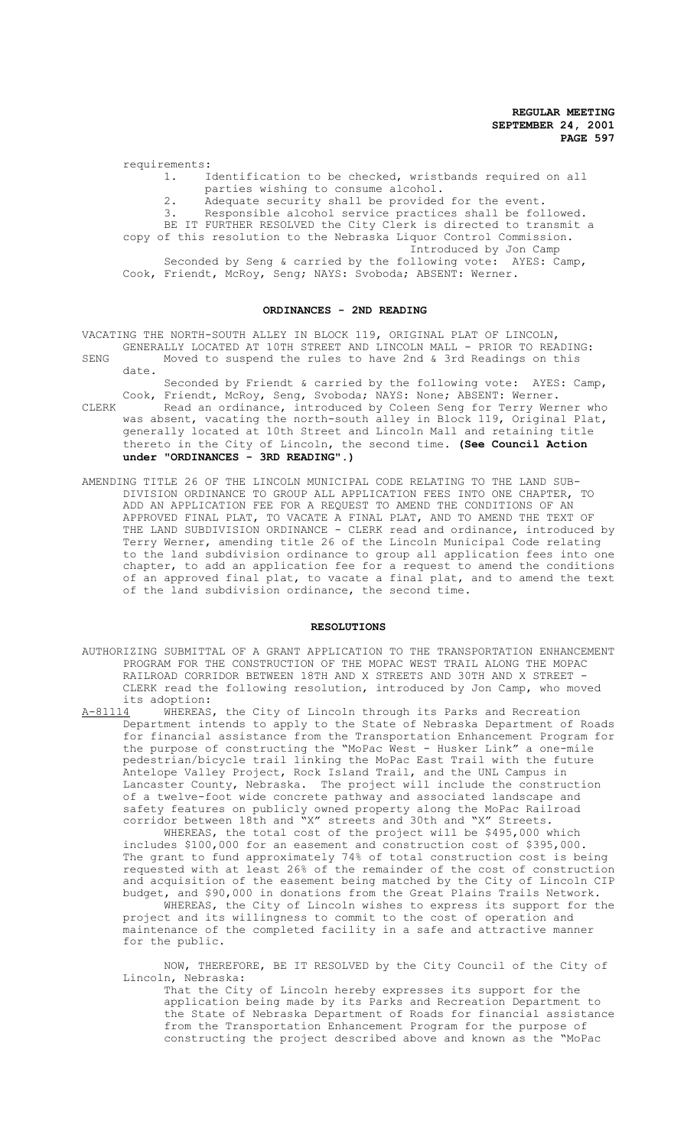requirements:

1. Identification to be checked, wristbands required on all parties wishing to consume alcohol. 2. Adequate security shall be provided for the event.

3. Responsible alcohol service practices shall be followed. BE IT FURTHER RESOLVED the City Clerk is directed to transmit a copy of this resolution to the Nebraska Liquor Control Commission. Introduced by Jon Camp Seconded by Seng & carried by the following vote: AYES: Camp, Cook, Friendt, McRoy, Seng; NAYS: Svoboda; ABSENT: Werner.

#### **ORDINANCES - 2ND READING**

VACATING THE NORTH-SOUTH ALLEY IN BLOCK 119, ORIGINAL PLAT OF LINCOLN, GENERALLY LOCATED AT 10TH STREET AND LINCOLN MALL - PRIOR TO READING:

SENG Moved to suspend the rules to have 2nd & 3rd Readings on this date.

Seconded by Friendt & carried by the following vote: AYES: Camp, Cook, Friendt, McRoy, Seng, Svoboda; NAYS: None; ABSENT: Werner.

- CLERK Read an ordinance, introduced by Coleen Seng for Terry Werner who was absent, vacating the north-south alley in Block 119, Original Plat, generally located at 10th Street and Lincoln Mall and retaining title thereto in the City of Lincoln, the second time. **(See Council Action under "ORDINANCES - 3RD READING".)**
- AMENDING TITLE 26 OF THE LINCOLN MUNICIPAL CODE RELATING TO THE LAND SUB-DIVISION ORDINANCE TO GROUP ALL APPLICATION FEES INTO ONE CHAPTER, TO ADD AN APPLICATION FEE FOR A REQUEST TO AMEND THE CONDITIONS OF AN APPROVED FINAL PLAT, TO VACATE A FINAL PLAT, AND TO AMEND THE TEXT OF THE LAND SUBDIVISION ORDINANCE - CLERK read and ordinance, introduced by Terry Werner, amending title 26 of the Lincoln Municipal Code relating to the land subdivision ordinance to group all application fees into one chapter, to add an application fee for a request to amend the conditions of an approved final plat, to vacate a final plat, and to amend the text of the land subdivision ordinance, the second time.

# **RESOLUTIONS**

- AUTHORIZING SUBMITTAL OF A GRANT APPLICATION TO THE TRANSPORTATION ENHANCEMENT PROGRAM FOR THE CONSTRUCTION OF THE MOPAC WEST TRAIL ALONG THE MOPAC RAILROAD CORRIDOR BETWEEN 18TH AND X STREETS AND 30TH AND X STREET - CLERK read the following resolution, introduced by Jon Camp, who moved its adoption:<br>A-81114 WHEREAS
- A-81114 WHEREAS, the City of Lincoln through its Parks and Recreation Department intends to apply to the State of Nebraska Department of Roads for financial assistance from the Transportation Enhancement Program for the purpose of constructing the "MoPac West - Husker Link" a one-mile pedestrian/bicycle trail linking the MoPac East Trail with the future Antelope Valley Project, Rock Island Trail, and the UNL Campus in Lancaster County, Nebraska. The project will include the construction of a twelve-foot wide concrete pathway and associated landscape and safety features on publicly owned property along the MoPac Railroad corridor between 18th and "X" streets and 30th and "X" Streets.

WHEREAS, the total cost of the project will be \$495,000 which includes \$100,000 for an easement and construction cost of \$395,000. The grant to fund approximately 74% of total construction cost is being requested with at least 26% of the remainder of the cost of construction and acquisition of the easement being matched by the City of Lincoln CIP budget, and \$90,000 in donations from the Great Plains Trails Network.

WHEREAS, the City of Lincoln wishes to express its support for the project and its willingness to commit to the cost of operation and maintenance of the completed facility in a safe and attractive manner for the public.

NOW, THEREFORE, BE IT RESOLVED by the City Council of the City of Lincoln, Nebraska:

That the City of Lincoln hereby expresses its support for the application being made by its Parks and Recreation Department to the State of Nebraska Department of Roads for financial assistance from the Transportation Enhancement Program for the purpose of constructing the project described above and known as the "MoPac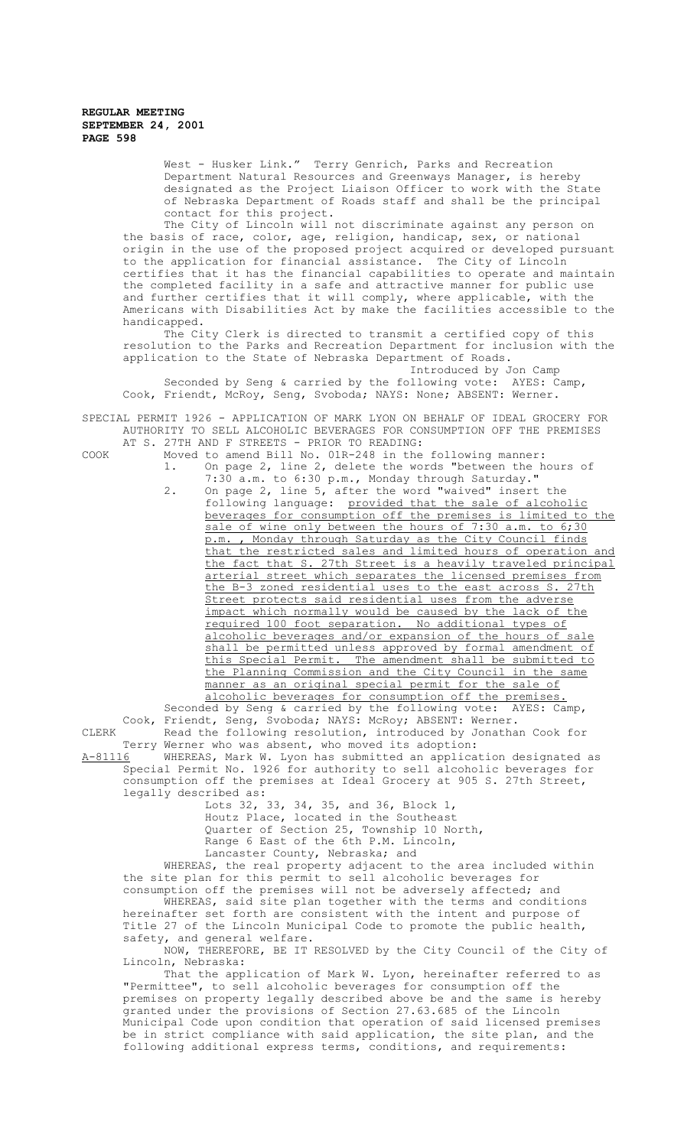West - Husker Link." Terry Genrich, Parks and Recreation Department Natural Resources and Greenways Manager, is hereby designated as the Project Liaison Officer to work with the State of Nebraska Department of Roads staff and shall be the principal contact for this project.

The City of Lincoln will not discriminate against any person on the basis of race, color, age, religion, handicap, sex, or national origin in the use of the proposed project acquired or developed pursuant to the application for financial assistance. The City of Lincoln certifies that it has the financial capabilities to operate and maintain the completed facility in a safe and attractive manner for public use and further certifies that it will comply, where applicable, with the Americans with Disabilities Act by make the facilities accessible to the handicapped.

The City Clerk is directed to transmit a certified copy of this resolution to the Parks and Recreation Department for inclusion with the application to the State of Nebraska Department of Roads.

Introduced by Jon Camp<br>ollowing vote: AYES: Camp, Seconded by Seng & carried by the following vote: Cook, Friendt, McRoy, Seng, Svoboda; NAYS: None; ABSENT: Werner.

SPECIAL PERMIT 1926 - APPLICATION OF MARK LYON ON BEHALF OF IDEAL GROCERY FOR AUTHORITY TO SELL ALCOHOLIC BEVERAGES FOR CONSUMPTION OFF THE PREMISES AT S. 27TH AND F STREETS - PRIOR TO READING:

- COOK Moved to amend Bill No. 01R-248 in the following manner: 1. On page 2, line 2, delete the words "between the hours of 7:30 a.m. to 6:30 p.m., Monday through Saturday."
	- 2. On page 2, line 5, after the word "waived" insert the following language: provided that the sale of alcoholic beverages for consumption off the premises is limited to the sale of wine only between the hours of 7:30 a.m. to 6;30 p.m. , Monday through Saturday as the City Council finds that the restricted sales and limited hours of operation and the fact that S. 27th Street is a heavily traveled principal arterial street which separates the licensed premises from the B-3 zoned residential uses to the east across S. 27th Street protects said residential uses from the adverse impact which normally would be caused by the lack of the<br>required 100 foot separation. No additional types of required 100 foot separation. alcoholic beverages and/or expansion of the hours of sale shall be permitted unless approved by formal amendment of this Special Permit. The amendment shall be submitted to the Planning Commission and the City Council in the same manner as an original special permit for the sale of alcoholic beverages for consumption off the premises.

Seconded by Seng & carried by the following vote: AYES: Camp, Cook, Friendt, Seng, Svoboda; NAYS: McRoy; ABSENT: Werner.

CLERK Read the following resolution, introduced by Jonathan Cook for Terry Werner who was absent, who moved its adoption:<br>A-81116 WHEREAS, Mark W. Lyon has submitted an applica A-81116 MHEREAS, Mark W. Lyon has submitted an application designated as

Special Permit No. 1926 for authority to sell alcoholic beverages for consumption off the premises at Ideal Grocery at 905 S. 27th Street, legally described as:

Lots 32, 33, 34, 35, and 36, Block 1, Houtz Place, located in the Southeast Quarter of Section 25, Township 10 North, Range 6 East of the 6th P.M. Lincoln, Lancaster County, Nebraska; and

WHEREAS, the real property adjacent to the area included within the site plan for this permit to sell alcoholic beverages for consumption off the premises will not be adversely affected; and

WHEREAS, said site plan together with the terms and conditions hereinafter set forth are consistent with the intent and purpose of Title 27 of the Lincoln Municipal Code to promote the public health, safety, and general welfare.

NOW, THEREFORE, BE IT RESOLVED by the City Council of the City of Lincoln, Nebraska:

That the application of Mark W. Lyon, hereinafter referred to as "Permittee", to sell alcoholic beverages for consumption off the premises on property legally described above be and the same is hereby granted under the provisions of Section 27.63.685 of the Lincoln Municipal Code upon condition that operation of said licensed premises be in strict compliance with said application, the site plan, and the following additional express terms, conditions, and requirements: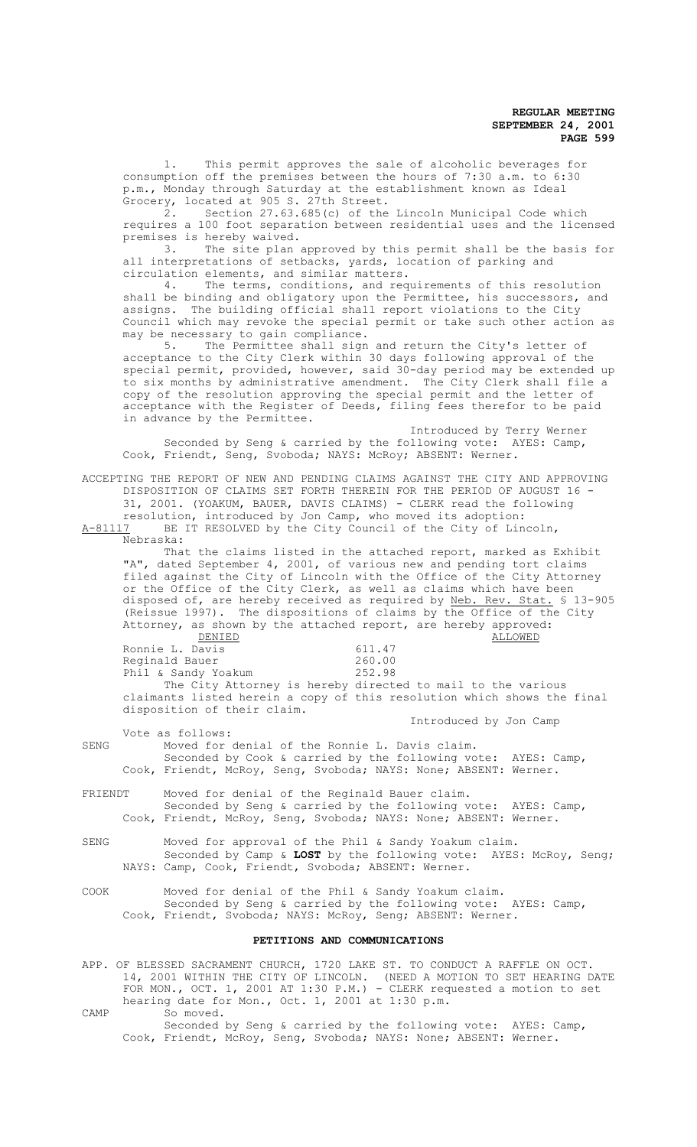1. This permit approves the sale of alcoholic beverages for consumption off the premises between the hours of 7:30 a.m. to 6:30 p.m., Monday through Saturday at the establishment known as Ideal Grocery, located at 905 S. 27th Street.

2. Section 27.63.685(c) of the Lincoln Municipal Code which requires a 100 foot separation between residential uses and the licensed premises is hereby waived.

3. The site plan approved by this permit shall be the basis for all interpretations of setbacks, yards, location of parking and circulation elements, and similar matters.

4. The terms, conditions, and requirements of this resolution shall be binding and obligatory upon the Permittee, his successors, and assigns. The building official shall report violations to the City Council which may revoke the special permit or take such other action as may be necessary to gain compliance.<br>5 The Permittee shall sign

The Permittee shall sign and return the City's letter of acceptance to the City Clerk within 30 days following approval of the special permit, provided, however, said 30-day period may be extended up to six months by administrative amendment. The City Clerk shall file a copy of the resolution approving the special permit and the letter of acceptance with the Register of Deeds, filing fees therefor to be paid in advance by the Permittee.

Introduced by Terry Werner Seconded by Seng & carried by the following vote: AYES: Camp, Cook, Friendt, Seng, Svoboda; NAYS: McRoy; ABSENT: Werner.

ACCEPTING THE REPORT OF NEW AND PENDING CLAIMS AGAINST THE CITY AND APPROVING DISPOSITION OF CLAIMS SET FORTH THEREIN FOR THE PERIOD OF AUGUST 16 - 31, 2001. (YOAKUM, BAUER, DAVIS CLAIMS) - CLERK read the following resolution, introduced by Jon Camp, who moved its adoption:<br>A-81117 BE IT RESOLVED by the City Council of the City of Lin

BE IT RESOLVED by the City Council of the City of Lincoln, Nebraska:

That the claims listed in the attached report, marked as Exhibit "A", dated September 4, 2001, of various new and pending tort claims filed against the City of Lincoln with the Office of the City Attorney or the Office of the City Clerk, as well as claims which have been disposed of, are hereby received as required by Neb. Rev. Stat. \$ 13-905 (Reissue 1997). The dispositions of claims by the Office of the City Attorney, as shown by the attached report, are hereby approved: DENIED ALLOWED Ronnie L. Davis Reginald Bauer 1988 1999 1260.00<br>
Phil & Sandy Yoakum 1252.98 Phil & Sandy Yoakum

The City Attorney is hereby directed to mail to the various claimants listed herein a copy of this resolution which shows the final disposition of their claim.

Introduced by Jon Camp

Vote as follows: SENG Moved for denial of the Ronnie L. Davis claim. Seconded by Cook & carried by the following vote: AYES: Camp, Cook, Friendt, McRoy, Seng, Svoboda; NAYS: None; ABSENT: Werner.

FRIENDT Moved for denial of the Reginald Bauer claim. Seconded by Seng & carried by the following vote: AYES: Camp, Cook, Friendt, McRoy, Seng, Svoboda; NAYS: None; ABSENT: Werner.

SENG Moved for approval of the Phil & Sandy Yoakum claim. Seconded by Camp & **LOST** by the following vote: AYES: McRoy, Seng; NAYS: Camp, Cook, Friendt, Svoboda; ABSENT: Werner.

COOK Moved for denial of the Phil & Sandy Yoakum claim. Seconded by Seng & carried by the following vote: AYES: Camp, Cook, Friendt, Svoboda; NAYS: McRoy, Seng; ABSENT: Werner.

# **PETITIONS AND COMMUNICATIONS**

APP. OF BLESSED SACRAMENT CHURCH, 1720 LAKE ST. TO CONDUCT A RAFFLE ON OCT. 14, 2001 WITHIN THE CITY OF LINCOLN. (NEED A MOTION TO SET HEARING DATE FOR MON., OCT. 1, 2001 AT 1:30 P.M.) - CLERK requested a motion to set hearing date for Mon., Oct. 1, 2001 at 1:30 p.m.

CAMP So moved.

Seconded by Seng & carried by the following vote: AYES: Camp, Cook, Friendt, McRoy, Seng, Svoboda; NAYS: None; ABSENT: Werner.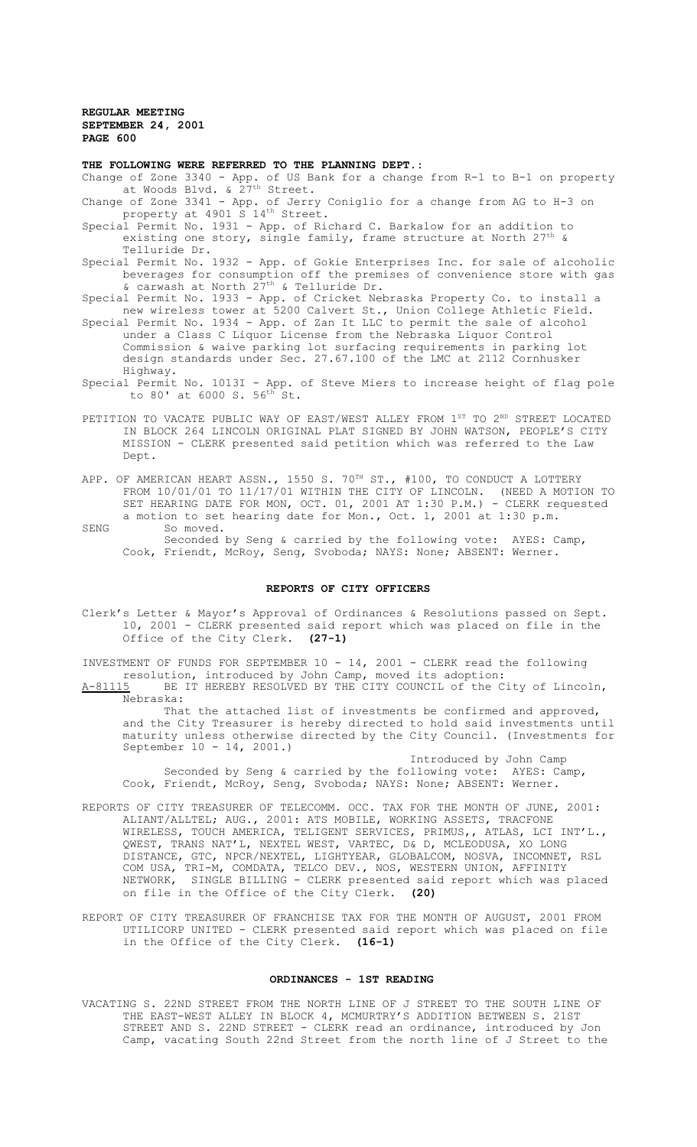#### **THE FOLLOWING WERE REFERRED TO THE PLANNING DEPT.:**

- Change of Zone 3340 App. of US Bank for a change from R-1 to B-1 on property at Woods Blvd. & 27<sup>th</sup> Street.
- Change of Zone 3341 App. of Jerry Coniglio for a change from AG to H-3 on property at 4901 S 14<sup>th</sup> Street.
- Special Permit No. 1931 App. of Richard C. Barkalow for an addition to existing one story, single family, frame structure at North  $27<sup>t</sup>$ Telluride Dr.
- Special Permit No. 1932 App. of Gokie Enterprises Inc. for sale of alcoholic beverages for consumption off the premises of convenience store with gas & carwash at North 27th & Telluride Dr.

Special Permit No. 1933 - App. of Cricket Nebraska Property Co. to install a new wireless tower at 5200 Calvert St., Union College Athletic Field.

- Special Permit No. 1934 App. of Zan It LLC to permit the sale of alcohol under a Class C Liquor License from the Nebraska Liquor Control Commission & waive parking lot surfacing requirements in parking lot design standards under Sec. 27.67.100 of the LMC at 2112 Cornhusker Highway.
- Special Permit No. 1013I App. of Steve Miers to increase height of flag pole to 80' at 6000 S. 56th St.
- PETITION TO VACATE PUBLIC WAY OF EAST/WEST ALLEY FROM  $1^{ST}$  TO  $2^{ND}$  STREET LOCATED IN BLOCK 264 LINCOLN ORIGINAL PLAT SIGNED BY JOHN WATSON, PEOPLE'S CITY MISSION - CLERK presented said petition which was referred to the Law Dept.
- APP. OF AMERICAN HEART ASSN., 1550 S. 70TH ST., #100, TO CONDUCT A LOTTERY FROM 10/01/01 TO 11/17/01 WITHIN THE CITY OF LINCOLN. (NEED A MOTION TO SET HEARING DATE FOR MON, OCT. 01, 2001 AT 1:30 P.M.) - CLERK requested a motion to set hearing date for Mon., Oct. 1, 2001 at 1:30 p.m.
- SENG So moved. Seconded by Seng & carried by the following vote: AYES: Camp, Cook, Friendt, McRoy, Seng, Svoboda; NAYS: None; ABSENT: Werner.

### **REPORTS OF CITY OFFICERS**

Clerk's Letter & Mayor's Approval of Ordinances & Resolutions passed on Sept. 10, 2001 - CLERK presented said report which was placed on file in the Office of the City Clerk. **(27-1)**

INVESTMENT OF FUNDS FOR SEPTEMBER 10 - 14, 2001 - CLERK read the following resolution, introduced by John Camp, moved its adoption:

A-81115 BE IT HEREBY RESOLVED BY THE CITY COUNCIL of the City of Lincoln, Nebraska:

That the attached list of investments be confirmed and approved, and the City Treasurer is hereby directed to hold said investments until maturity unless otherwise directed by the City Council. (Investments for September 10 - 14, 2001.)

Introduced by John Camp Seconded by Seng & carried by the following vote: AYES: Camp, Cook, Friendt, McRoy, Seng, Svoboda; NAYS: None; ABSENT: Werner.

- REPORTS OF CITY TREASURER OF TELECOMM. OCC. TAX FOR THE MONTH OF JUNE, 2001: ALIANT/ALLTEL; AUG., 2001: ATS MOBILE, WORKING ASSETS, TRACFONE WIRELESS, TOUCH AMERICA, TELIGENT SERVICES, PRIMUS,, ATLAS, LCI INT'L., QWEST, TRANS NAT'L, NEXTEL WEST, VARTEC, D& D, MCLEODUSA, XO LONG DISTANCE, GTC, NPCR/NEXTEL, LIGHTYEAR, GLOBALCOM, NOSVA, INCOMNET, RSL COM USA, TRI-M, COMDATA, TELCO DEV., NOS, WESTERN UNION, AFFINITY NETWORK, SINGLE BILLING - CLERK presented said report which was placed on file in the Office of the City Clerk. **(20)**
- REPORT OF CITY TREASURER OF FRANCHISE TAX FOR THE MONTH OF AUGUST, 2001 FROM UTILICORP UNITED - CLERK presented said report which was placed on file in the Office of the City Clerk. **(16-1)**

#### **ORDINANCES - 1ST READING**

VACATING S. 22ND STREET FROM THE NORTH LINE OF J STREET TO THE SOUTH LINE OF THE EAST-WEST ALLEY IN BLOCK 4, MCMURTRY'S ADDITION BETWEEN S. 21ST STREET AND S. 22ND STREET - CLERK read an ordinance, introduced by Jon Camp, vacating South 22nd Street from the north line of J Street to the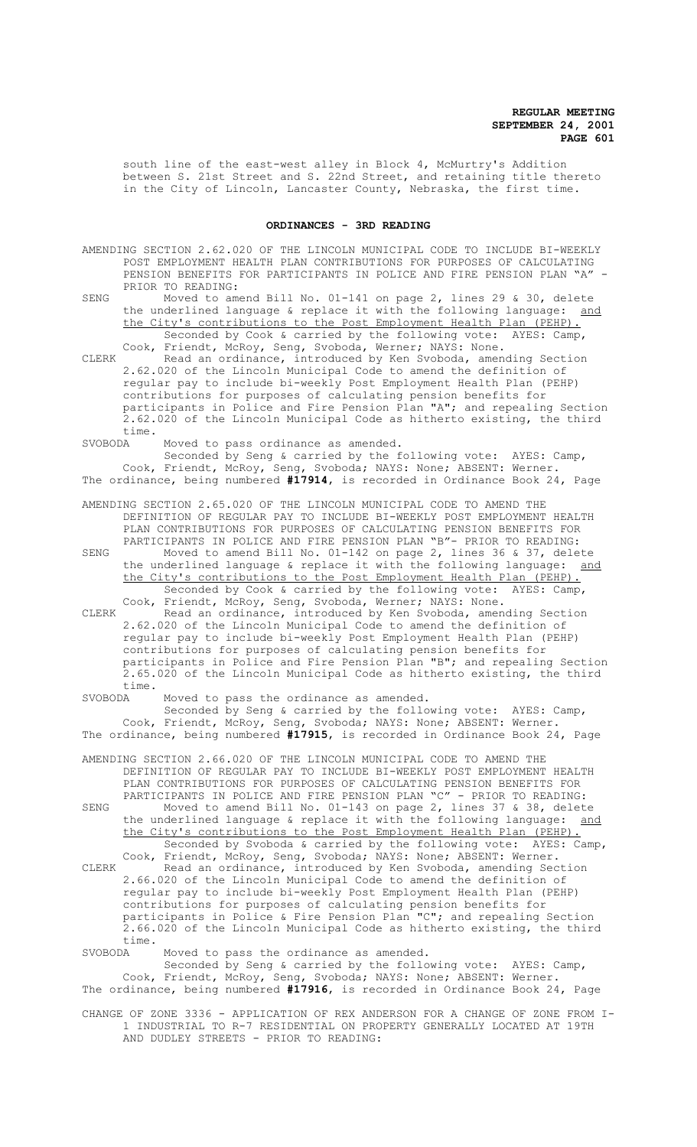south line of the east-west alley in Block 4, McMurtry's Addition between S. 21st Street and S. 22nd Street, and retaining title thereto in the City of Lincoln, Lancaster County, Nebraska, the first time.

### **ORDINANCES - 3RD READING**

- AMENDING SECTION 2.62.020 OF THE LINCOLN MUNICIPAL CODE TO INCLUDE BI-WEEKLY POST EMPLOYMENT HEALTH PLAN CONTRIBUTIONS FOR PURPOSES OF CALCULATING PENSION BENEFITS FOR PARTICIPANTS IN POLICE AND FIRE PENSION PLAN "A" PRIOR TO READING:
- SENG Moved to amend Bill No. 01-141 on page 2, lines 29 & 30, delete the underlined language & replace it with the following language: and the City's contributions to the Post Employment Health Plan (PEHP). Seconded by Cook & carried by the following vote: AYES: Camp, Cook, Friendt, McRoy, Seng, Svoboda, Werner; NAYS: None.

CLERK Read an ordinance, introduced by Ken Svoboda, amending Section 2.62.020 of the Lincoln Municipal Code to amend the definition of regular pay to include bi-weekly Post Employment Health Plan (PEHP) contributions for purposes of calculating pension benefits for participants in Police and Fire Pension Plan "A"; and repealing Section 2.62.020 of the Lincoln Municipal Code as hitherto existing, the third time.<br>SVOBODA

Moved to pass ordinance as amended. Seconded by Seng & carried by the following vote: AYES: Camp, Cook, Friendt, McRoy, Seng, Svoboda; NAYS: None; ABSENT: Werner. The ordinance, being numbered **#17914**, is recorded in Ordinance Book 24, Page

AMENDING SECTION 2.65.020 OF THE LINCOLN MUNICIPAL CODE TO AMEND THE DEFINITION OF REGULAR PAY TO INCLUDE BI-WEEKLY POST EMPLOYMENT HEALTH PLAN CONTRIBUTIONS FOR PURPOSES OF CALCULATING PENSION BENEFITS FOR PARTICIPANTS IN POLICE AND FIRE PENSION PLAN "B"- PRIOR TO READING: SENG Moved to amend Bill No. 01-142 on page 2, lines 36 & 37, delete the underlined language & replace it with the following language: and

the City's contributions to the Post Employment Health Plan (PEHP). Seconded by Cook & carried by the following vote: AYES: Camp, Cook, Friendt, McRoy, Seng, Svoboda, Werner; NAYS: None.

CLERK Read an ordinance, introduced by Ken Svoboda, amending Section 2.62.020 of the Lincoln Municipal Code to amend the definition of regular pay to include bi-weekly Post Employment Health Plan (PEHP) contributions for purposes of calculating pension benefits for participants in Police and Fire Pension Plan "B"; and repealing Section 2.65.020 of the Lincoln Municipal Code as hitherto existing, the third time.<br>SVORODA

Moved to pass the ordinance as amended.

Seconded by Seng & carried by the following vote: AYES: Camp, Cook, Friendt, McRoy, Seng, Svoboda; NAYS: None; ABSENT: Werner. The ordinance, being numbered **#17915**, is recorded in Ordinance Book 24, Page

AMENDING SECTION 2.66.020 OF THE LINCOLN MUNICIPAL CODE TO AMEND THE DEFINITION OF REGULAR PAY TO INCLUDE BI-WEEKLY POST EMPLOYMENT HEALTH PLAN CONTRIBUTIONS FOR PURPOSES OF CALCULATING PENSION BENEFITS FOR PARTICIPANTS IN POLICE AND FIRE PENSION PLAN "C" - PRIOR TO READING:

SENG Moved to amend Bill No. 01-143 on page 2, lines 37 & 38, delete the underlined language & replace it with the following language: and the City's contributions to the Post Employment Health Plan (PEHP). Seconded by Svoboda & carried by the following vote: AYES: Camp,

Cook, Friendt, McRoy, Seng, Svoboda; NAYS: None; ABSENT: Werner. CLERK Read an ordinance, introduced by Ken Svoboda, amending Section 2.66.020 of the Lincoln Municipal Code to amend the definition of regular pay to include bi-weekly Post Employment Health Plan (PEHP) contributions for purposes of calculating pension benefits for participants in Police & Fire Pension Plan "C"; and repealing Section 2.66.020 of the Lincoln Municipal Code as hitherto existing, the third time.<br>SVOBODA

Moved to pass the ordinance as amended.

Seconded by Seng & carried by the following vote: AYES: Camp, Cook, Friendt, McRoy, Seng, Svoboda; NAYS: None; ABSENT: Werner. The ordinance, being numbered **#17916**, is recorded in Ordinance Book 24, Page

CHANGE OF ZONE 3336 - APPLICATION OF REX ANDERSON FOR A CHANGE OF ZONE FROM I-1 INDUSTRIAL TO R-7 RESIDENTIAL ON PROPERTY GENERALLY LOCATED AT 19TH AND DUDLEY STREETS - PRIOR TO READING: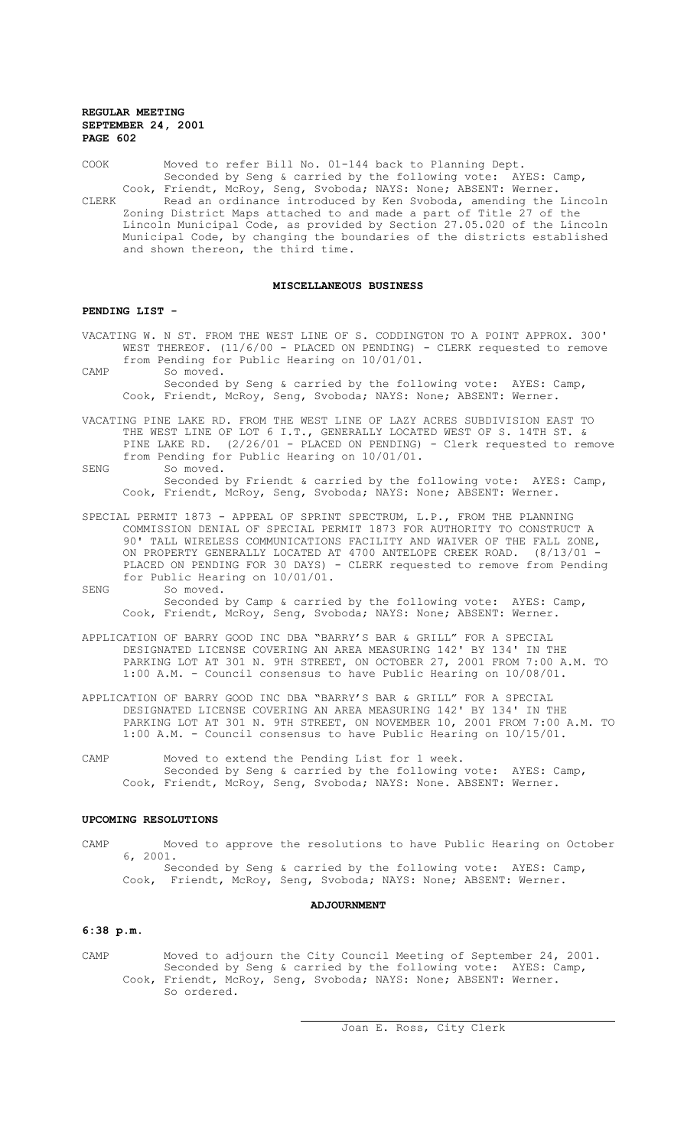COOK Moved to refer Bill No. 01-144 back to Planning Dept. Seconded by Seng & carried by the following vote: AYES: Camp, Cook, Friendt, McRoy, Seng, Svoboda; NAYS: None; ABSENT: Werner. CLERK Read an ordinance introduced by Ken Svoboda, amending the Lincoln Zoning District Maps attached to and made a part of Title 27 of the Lincoln Municipal Code, as provided by Section 27.05.020 of the Lincoln Municipal Code, by changing the boundaries of the districts established and shown thereon, the third time.

#### **MISCELLANEOUS BUSINESS**

#### **PENDING LIST -**

- VACATING W. N ST. FROM THE WEST LINE OF S. CODDINGTON TO A POINT APPROX. 300' WEST THEREOF. (11/6/00 - PLACED ON PENDING) - CLERK requested to remove from Pending for Public Hearing on 10/01/01.
- CAMP So moved. Seconded by Seng & carried by the following vote: AYES: Camp, Cook, Friendt, McRoy, Seng, Svoboda; NAYS: None; ABSENT: Werner.
- VACATING PINE LAKE RD. FROM THE WEST LINE OF LAZY ACRES SUBDIVISION EAST TO THE WEST LINE OF LOT 6 I.T., GENERALLY LOCATED WEST OF S. 14TH ST. & PINE LAKE RD. (2/26/01 - PLACED ON PENDING) - Clerk requested to remove from Pending for Public Hearing on 10/01/01.
- SENG So moved. Seconded by Friendt & carried by the following vote: AYES: Camp, Cook, Friendt, McRoy, Seng, Svoboda; NAYS: None; ABSENT: Werner.
- SPECIAL PERMIT 1873 APPEAL OF SPRINT SPECTRUM, L.P., FROM THE PLANNING COMMISSION DENIAL OF SPECIAL PERMIT 1873 FOR AUTHORITY TO CONSTRUCT A 90' TALL WIRELESS COMMUNICATIONS FACILITY AND WAIVER OF THE FALL ZONE, ON PROPERTY GENERALLY LOCATED AT 4700 ANTELOPE CREEK ROAD. (8/13/01 PLACED ON PENDING FOR 30 DAYS) - CLERK requested to remove from Pending for Public Hearing on 10/01/01. SENG So moved.
	- Seconded by Camp & carried by the following vote: AYES: Camp, Cook, Friendt, McRoy, Seng, Svoboda; NAYS: None; ABSENT: Werner.
- APPLICATION OF BARRY GOOD INC DBA "BARRY'S BAR & GRILL" FOR A SPECIAL DESIGNATED LICENSE COVERING AN AREA MEASURING 142' BY 134' IN THE PARKING LOT AT 301 N. 9TH STREET, ON OCTOBER 27, 2001 FROM 7:00 A.M. TO 1:00 A.M. - Council consensus to have Public Hearing on 10/08/01.
- APPLICATION OF BARRY GOOD INC DBA "BARRY'S BAR & GRILL" FOR A SPECIAL DESIGNATED LICENSE COVERING AN AREA MEASURING 142' BY 134' IN THE PARKING LOT AT 301 N. 9TH STREET, ON NOVEMBER 10, 2001 FROM 7:00 A.M. TO 1:00 A.M. - Council consensus to have Public Hearing on 10/15/01.
- CAMP Moved to extend the Pending List for 1 week. Seconded by Seng & carried by the following vote: AYES: Camp, Cook, Friendt, McRoy, Seng, Svoboda; NAYS: None. ABSENT: Werner.

### **UPCOMING RESOLUTIONS**

- CAMP Moved to approve the resolutions to have Public Hearing on October 6, 2001. Seconded by Seng & carried by the following vote: AYES: Camp,
	- Cook, Friendt, McRoy, Seng, Svoboda; NAYS: None; ABSENT: Werner.

#### **ADJOURNMENT**

### **6:38 p.m.**

CAMP Moved to adjourn the City Council Meeting of September 24, 2001. Seconded by Seng & carried by the following vote: AYES: Camp, Cook, Friendt, McRoy, Seng, Svoboda; NAYS: None; ABSENT: Werner. So ordered.

 $\overline{a}$